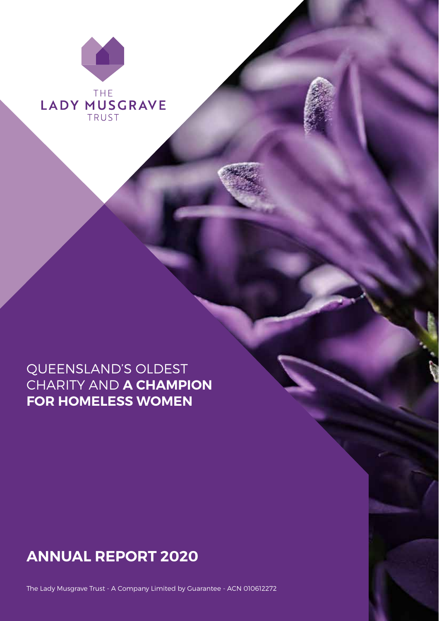

# QUEENSLAND'S OLDEST CHARITY AND **A CHAMPION FOR HOMELESS WOMEN**

# **ANNUAL REPORT 2020**

1 The Lady Musgrave Trust 1 Annual Report 2020

The Lady Musgrave Trust - A Company Limited by Guarantee - ACN 010612272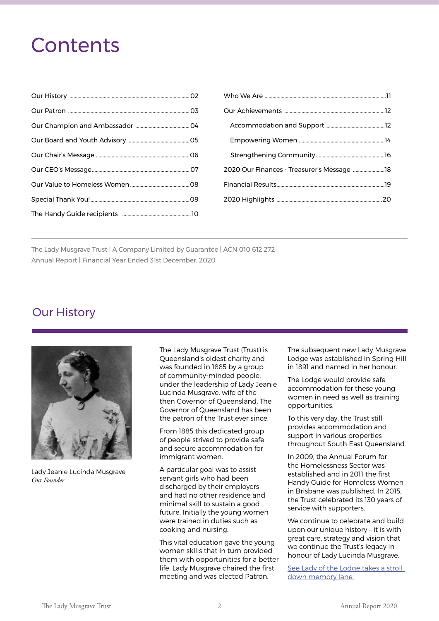# **Contents**

| 2020 Our Finances - Treasurer's Message 18 |  |
|--------------------------------------------|--|
|                                            |  |
|                                            |  |

The Lady Musgrave Trust | A Company Limited by Guarantee | ACN 010 612 272 Annual Report | Financial Year Ended 31st December, 2020

# Our History



Lady Jeanie Lucinda Musgrave *Our Founder*

The Lady Musgrave Trust (Trust) is Queensland's oldest charity and was founded in 1885 by a group of community-minded people, under the leadership of Lady Jeanie Lucinda Musgrave, wife of the then Governor of Queensland. The Governor of Queensland has been the patron of the Trust ever since.

From 1885 this dedicated group of people strived to provide safe and secure accommodation for immigrant women.

A particular goal was to assist servant girls who had been discharged by their employers and had no other residence and minimal skill to sustain a good future. Initially the young women were trained in duties such as cooking and nursing.

This vital education gave the young women skills that in turn provided them with opportunities for a better life. Lady Musgrave chaired the first meeting and was elected Patron.

The subsequent new Lady Musgrave Lodge was established in Spring Hill in 1891 and named in her honour.

The Lodge would provide safe accommodation for these young women in need as well as training opportunities.

To this very day, the Trust still provides accommodation and support in various properties throughout South East Queensland.

In 2009, the Annual Forum for the Homelessness Sector was established and in 2011 the first Handy Guide for Homeless Women in Brisbane was published. In 2015, the Trust celebrated its 130 years of service with supporters.

We continue to celebrate and build upon our unique history – it is with great care, strategy and vision that we continue the Trust's legacy in honour of Lady Lucinda Musgrave.

See Lady of the Lodge takes a stroll down memory lane.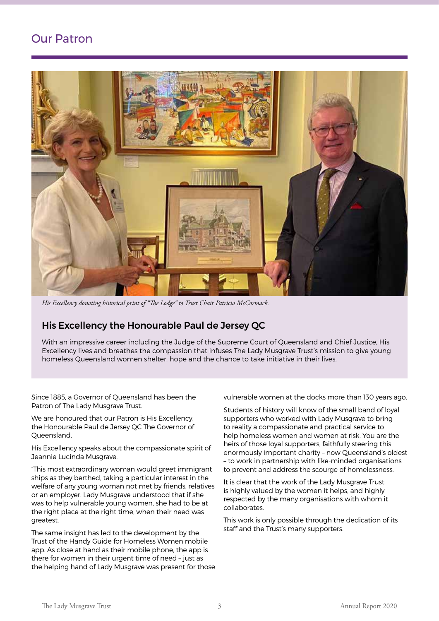# Our Patron



*His Excellency donating historical print of "The Lodge" to Trust Chair Patricia McCormack.*

## His Excellency the Honourable Paul de Jersey QC

With an impressive career including the Judge of the Supreme Court of Queensland and Chief Justice, His Excellency lives and breathes the compassion that infuses The Lady Musgrave Trust's mission to give young homeless Queensland women shelter, hope and the chance to take initiative in their lives.

Since 1885, a Governor of Queensland has been the Patron of The Lady Musgrave Trust.

We are honoured that our Patron is His Excellency, the Honourable Paul de Jersey QC The Governor of Queensland.

His Excellency speaks about the compassionate spirit of Jeannie Lucinda Musgrave.

"This most extraordinary woman would greet immigrant ships as they berthed, taking a particular interest in the welfare of any young woman not met by friends, relatives or an employer. Lady Musgrave understood that if she was to help vulnerable young women, she had to be at the right place at the right time, when their need was greatest.

The same insight has led to the development by the Trust of the Handy Guide for Homeless Women mobile app. As close at hand as their mobile phone, the app is there for women in their urgent time of need – just as the helping hand of Lady Musgrave was present for those vulnerable women at the docks more than 130 years ago.

Students of history will know of the small band of loyal supporters who worked with Lady Musgrave to bring to reality a compassionate and practical service to help homeless women and women at risk. You are the heirs of those loyal supporters, faithfully steering this enormously important charity – now Queensland's oldest – to work in partnership with like-minded organisations to prevent and address the scourge of homelessness.

It is clear that the work of the Lady Musgrave Trust is highly valued by the women it helps, and highly respected by the many organisations with whom it collaborates.

This work is only possible through the dedication of its staff and the Trust's many supporters.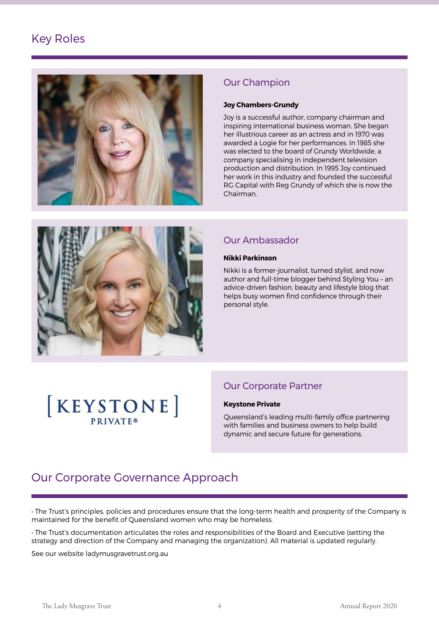# Key Roles



# Our Champion

#### **Joy Chambers-Grundy**

Joy is a successful author, company chairman and inspiring international business woman. She began her illustrious career as an actress and in 1970 was awarded a Logie for her performances. In 1985 she was elected to the board of Grundy Worldwide, a company specialising in independent television production and distribution. In 1995 Joy continued her work in this industry and founded the successful RG Capital with Reg Grundy of which she is now the Chairman.



# Our Ambassador

#### **Nikki Parkinson**

Nikki is a former-journalist, turned stylist, and now author and full-time blogger behind Styling You – an advice-driven fashion, beauty and lifestyle blog that helps busy women find confidence through their personal style.

# **KEYSTONE PRIVATE®**

# Our Corporate Partner

#### **Keystone Private**

Queensland's leading multi-family office partnering with families and business owners to help build dynamic and secure future for generations.

# Our Corporate Governance Approach

• The Trust's principles, policies and procedures ensure that the long-term health and prosperity of the Company is maintained for the benefit of Queensland women who may be homeless.

• The Trust's documentation articulates the roles and responsibilities of the Board and Executive (setting the strategy and direction of the Company and managing the organization). All material is updated regularly.

See our website ladymusgravetrust.org.au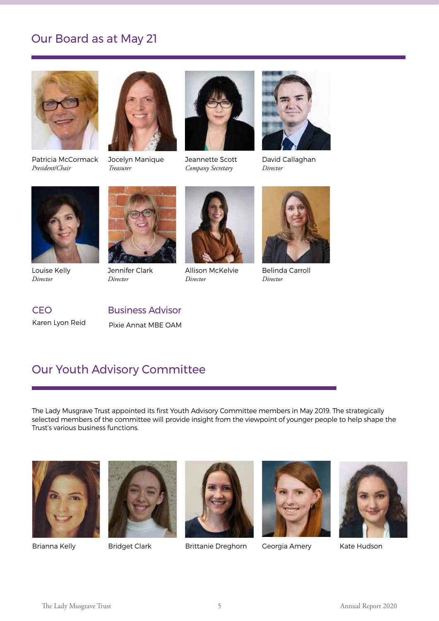# Our Board as at May 21



Patricia McCormack *President/Chair*



Jocelyn Manique *Treasurer*



Jeannette Scott *Company Secretary*



David Callaghan *Director*



Louise Kelly *Director*



Jennifer Clark *Director*



Allison McKelvie *Director*



Belinda Carroll *Director*

Karen Lyon Reid

# CEO Business Advisor

Pixie Annat MBE OAM

# Our Youth Advisory Committee

The Lady Musgrave Trust appointed its first Youth Advisory Committee members in May 2019. The strategically selected members of the committee will provide insight from the viewpoint of younger people to help shape the Trust's various business functions.







Brianna Kelly Bridget Clark Brittanie Dreghorn Georgia Amery Kate Hudson



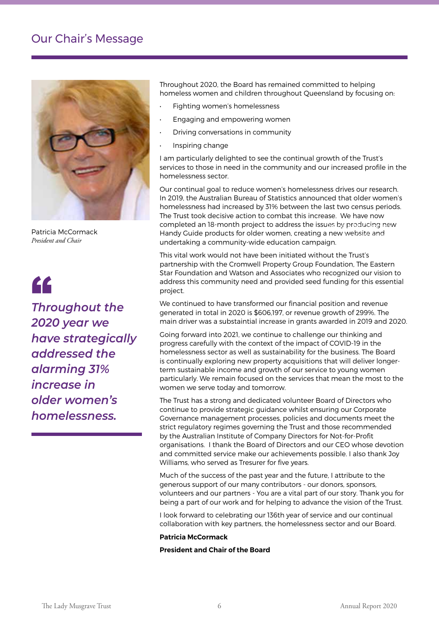# Our Chair's Message



Patricia McCormack *President and Chair*



*Throughout the 2020 year we have strategically addressed the alarming 31% increase in older women's homelessness.*

Throughout 2020, the Board has remained committed to helping homeless women and children throughout Queensland by focusing on:

- Fighting women's homelessness
- Engaging and empowering women
- Driving conversations in community
- Inspiring change

I am particularly delighted to see the continual growth of the Trust's services to those in need in the community and our increased profile in the homelessness sector.

Our continual goal to reduce women's homelessness drives our research. In 2019, the Australian Bureau of Statistics announced that older women's homelessness had increased by 31% between the last two census periods. The Trust took decisive action to combat this increase. We have now completed an 18-month project to address the issues by producing new Handy Guide products for older women, creating a new website and *President/Chairman* undertaking a community-wide education campaign.

This vital work would not have been initiated without the Trust's partnership with the Cromwell Property Group Foundation, The Eastern Star Foundation and Watson and Associates who recognized our vision to address this community need and provided seed funding for this essential project.

We continued to have transformed our financial position and revenue generated in total in 2020 is \$606,197, or revenue growth of 299%. The main driver was a substaintial increase in grants awarded in 2019 and 2020.

Going forward into 2021, we continue to challenge our thinking and progress carefully with the context of the impact of COVID-19 in the homelessness sector as well as sustainability for the business. The Board is continually exploring new property acquisitions that will deliver longerterm sustainable income and growth of our service to young women particularly. We remain focused on the services that mean the most to the women we serve today and tomorrow.

The Trust has a strong and dedicated volunteer Board of Directors who continue to provide strategic guidance whilst ensuring our Corporate Governance management processes, policies and documents meet the strict regulatory regimes governing the Trust and those recommended by the Australian Institute of Company Directors for Not-for-Profit organisations. I thank the Board of Directors and our CEO whose devotion and committed service make our achievements possible. I also thank Joy Williams, who served as Tresurer for five years.

Much of the success of the past year and the future, I attribute to the generous support of our many contributors - our donors, sponsors, volunteers and our partners - You are a vital part of our story. Thank you for being a part of our work and for helping to advance the vision of the Trust.

I look forward to celebrating our 136th year of service and our continual collaboration with key partners, the homelessness sector and our Board.

#### **Patricia McCormack**

#### **President and Chair of the Board**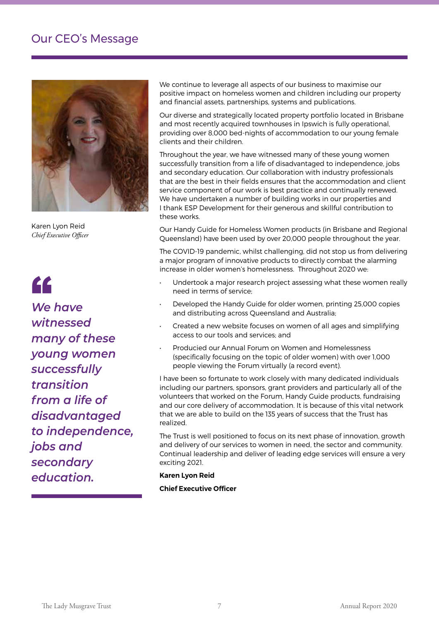# Our CEO's Message



Karen Lyon Reid *Chief Executive Officer*

# "

*We have witnessed many of these young women successfully transition from a life of disadvantaged to independence, jobs and secondary education.*

positive impact on homeless women and children including our property *Chief Executive Officer* and financial assets, partnerships, systems and publications. We continue to leverage all aspects of our business to maximise our

Our diverse and strategically located property portfolio located in Brisbane and most recently acquired townhouses in Ipswich is fully operational, providing over 8,000 bed-nights of accommodation to our young female clients and their children.

Throughout the year, we have witnessed many of these young women successfully transition from a life of disadvantaged to independence, jobs and secondary education. Our collaboration with industry professionals that are the best in their fields ensures that the accommodation and client service component of our work is best practice and continually renewed. We have undertaken a number of building works in our properties and I thank ESP Development for their generous and skillful contribution to these works.

Our Handy Guide for Homeless Women products (in Brisbane and Regional Queensland) have been used by over 20,000 people throughout the year.

The COVID-19 pandemic, whilst challenging, did not stop us from delivering a major program of innovative products to directly combat the alarming increase in older women's homelessness. Throughout 2020 we:

- Undertook a major research project assessing what these women really need in terms of service;
- Developed the Handy Guide for older women, printing 25,000 copies and distributing across Queensland and Australia;
- Created a new website focuses on women of all ages and simplifying access to our tools and services; and
- Producied our Annual Forum on Women and Homelessness (specifically focusing on the topic of older women) with over 1,000 people viewing the Forum virtually (a record event).

I have been so fortunate to work closely with many dedicated individuals including our partners, sponsors, grant providers and particularly all of the volunteers that worked on the Forum, Handy Guide products, fundraising and our core delivery of accommodation. It is because of this vital network that we are able to build on the 135 years of success that the Trust has realized.

The Trust is well positioned to focus on its next phase of innovation, growth and delivery of our services to women in need, the sector and community. Continual leadership and deliver of leading edge services will ensure a very exciting 2021.

## **Karen Lyon Reid**

**Chief Executive Officer**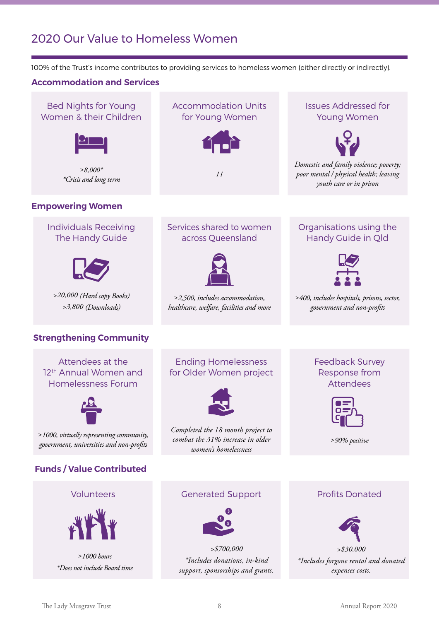# 2020 Our Value to Homeless Women

100% of the Trust's income contributes to providing services to homeless women (either directly or indirectly).

## **Accommodation and Services**

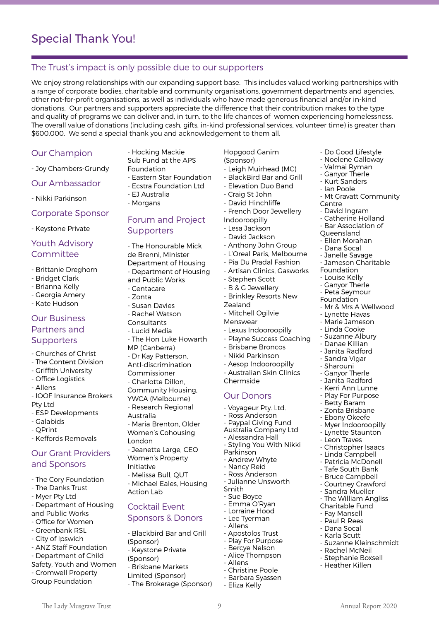## The Trust's impact is only possible due to our supporters

We enjoy strong relationships with our expanding support base. This includes valued working partnerships with a range of corporate bodies, charitable and community organisations, government departments and agencies, other not-for-profit organisations, as well as individuals who have made generous financial and/or in-kind donations. Our partners and supporters appreciate the difference that their contribution makes to the type and quality of programs we can deliver and, in turn, to the life chances of women experiencing homelessness. The overall value of donations (including cash, gifts, in-kind professional services, volunteer time) is greater than \$600,000. We send a special thank you and acknowledgement to them all.

#### Our Champion

- Joy Chambers-Grundy

Our Ambassador

- Nikki Parkinson

#### Corporate Sponsor

- Keystone Private

## Youth Advisory Committee

- Brittanie Dreghorn
- Bridget Clark
- Brianna Kelly
- Georgia Amery
- Kate Hudson

## Our Business Partners and **Supporters**

- Churches of Christ
- The Content Division
- Griffith University
- Office Logistics
- Allens
- IOOF Insurance Brokers Pty Ltd
- ESP Developments
- Galabids
- QPrint
- Keffords Removals

## Our Grant Providers and Sponsors

- The Cory Foundation
- The Danks Trust
- Myer Pty Ltd
- Department of Housing and Public Works
- Office for Women
- Greenbank RSL
- City of Ipswich
- ANZ Staff Foundation
- Department of Child
- Safety, Youth and Women
- Cromwell Property
- Group Foundation
- Hocking Mackie Sub Fund at the APS
- Foundation
- Eastern Star Foundation
- Ecstra Foundation Ltd
- EJ Australia
- Morgans

## Forum and Project **Supporters**

- The Honourable Mick de Brenni, Minister Department of Housing - Department of Housing

- and Public Works - Centacare
- Zonta
- Susan Davies
- Rachel Watson
- **Consultants**
- Lucid Media
- The Hon Luke Howarth
- MP (Canberra)
- Dr Kay Patterson,
- AntI-discrimination
- Commissioner
- Charlotte Dillon,
- Community Housing,
- YWCA (Melbourne) - Research Regional
- Australia
- Maria Brenton, Older Women's Cohousing
- London - Jeanette Large, CEO
- Women's Property
- Initiative
- Melissa Bull, QUT
- Michael Eales, Housing Action Lab

## Cocktail Event

#### Sponsors & Donors

- 
- Blackbird Bar and Grill (Sponsor)
- Keystone Private
- (Sponsor)
- Brisbane Markets
- Limited (Sponsor)
- The Brokerage (Sponsor)

8 The Lady Musgrave Trust 9 Annual Report 2020

- Hopgood Ganim (Sponsor)
- Leigh Muirhead (MC)

- Do Good Lifestyle - Noelene Galloway - Valmai Ryman - Ganyor Therle - Kurt Sanders - Ian Poole

Centre

- David Ingram - Catherine Holland - Bar Association of Queensland - Ellen Morahan - Dana Socal - Janelle Savage - Jameson Charitable

Foundation - Louise Kelly - Ganyor Therle - Peta Seymour Foundation

- Mt Gravatt Community

- Mr & Mrs A Wellwood - Lynette Havas - Marie Jameson - Linda Cooke - Suzanne Albury - Danae Killian - Janita Radford - Sandra Vigar - Sharouni - Ganyor Therle Janita Radford - Kerri Ann Lunne - Play For Purpose - Betty Baram - Zonta Brisbane - Ebony Okeefe - Myer Indooroopilly - Lynette Staunton - Leon Traves - Christopher Isaacs - Linda Campbell - Patricia McDonell - Tafe South Bank - Bruce Campbell - Courtney Crawford - Sandra Mueller - The William Angliss Charitable Fund - Fay Mansell - Paul R Rees - Dana Socal - Karla Scutt

- Suzanne Kleinschmidt

- Rachel McNeil - Stephanie Boxsell - Heather Killen

- BlackBird Bar and Grill
- Elevation Duo Band
- Craig St John
- David Hinchliffe
- French Door Jewellery Indooroopilly
- Lesa Jackson
- David Jackson
- Anthony John Group
- L'Oreal Paris, Melbourne
- Pia Du Pradal Fashion
- Artisan Clinics, Gasworks
- Stephen Scott
- B & G Jewellery
- Brinkley Resorts New
- Zealand - Mitchell Ogilvie
- 
- Menswear
- Lexus Indooroopilly
- Playne Success Coaching

- Australian Skin Clinics

- Brisbane Broncos
- Nikki Parkinson - Aesop Indooroopilly

Our Donors - Voyageur Pty. Ltd. - Ross Anderson - Paypal Giving Fund Australia Company Ltd - Alessandra Hall Styling You With Nikki

Chermside

Parkinson - Andrew Whyte - Nancy Reid - Ross Anderson - Julianne Unsworth

Smith - Sue Boyce - Emma O'Ryan - Lorraine Hood - Lee Tyerman - Allens

- Allens

- Apostolos Trust - Play For Purpose - Bercye Nelson - Alice Thompson

- Christine Poole - Barbara Syassen - Eliza Kelly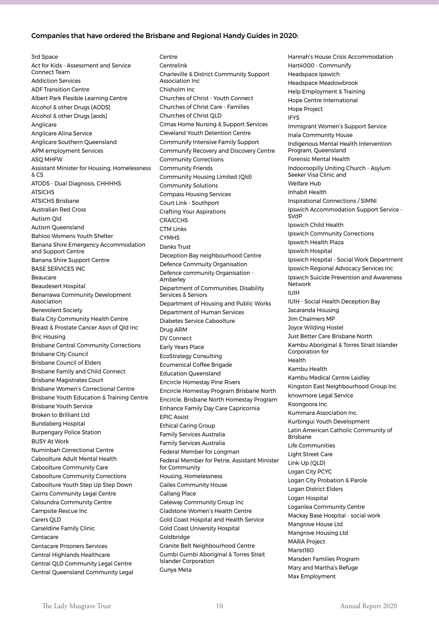#### Companies that have ordered the Brisbane and Regional Handy Guides in 2020:

3rd Space Act for Kids - Assessment and Service Connect Team Addiction Services ADF Transition Centre Albert Park Flexible Learning Centre Alcohol & other Drugs [AODS] Alcohol & other Drugs [aods] Anglicare Anglicare Alina Service Anglicare Southern Queensland APM employment Services ASQ MHFW Assistant Minister for Housing, Homelessness & CS ATODS - Dual Diagnosis, CHHHHS **ATSICHS** ATSICHS Brisbane Australian Red Cross Autism Qld Autism Queensland Bahloo Womens Youth Shelter Banana Shire Emergency Accommodation and Support Centre Banana Shire Support Centre BASE SERVICES INC Beaucare Beaudesert Hospital Benarrawa Community Development Association Benevolent Society Biala City Community Health Centre Breast & Prostate Cancer Assn of Qld Inc Bric Housing Brisbane Central Community Corrections Brisbane City Council Brisbane Council of Elders Brisbane Family and Child Connect Brisbane Magistrates Court Brisbane Women's Correctional Centre Brisbane Youth Education & Training Centre Brisbane Youth Service Broken to Brilliant Ltd Bundaberg Hospital Burpengary Police Station BUSY At Work Numinbah Correctional Centre Caboolture Adult Mental Health Caboolture Community Care Caboolture Community Corrections Caboolture Youth Step Up Step Down Cairns Community Legal Centre Caloundra Community Centre Campsite Rescue Inc Carers QLD Carseldine Family Clinic Centacare Centacare Prisoners Services Central Highlands Healthcare Central QLD Community Legal Centre Central Queensland Community Legal

Centre Centrelink Charleville & District Community Support Association Inc Chisholm Inc Churches of Christ - Youth Connect Churches of Christ Care - Families Churches of Christ QLD Cimas Home Nursing & Support Services Cleveland Youth Detention Centre Communify Intensive Family Support Communify Recovery and Discovery Centre Community Corrections Community Friends Community Housing Limited (Qld) Community Solutions Compass Housing Services Court Link - Southport Crafting Your Aspirations **CRAICCHS** CTM Links CYMHS Danks Trust Deception Bay neighbourhood Centre Defence Commuity Organisation Defence community Organisation - Amberley Department of Communities, Disability Services & Seniors Department of Housing and Public Works Department of Human Services Diabetes Service Caboolture Drug ARM DV Connect Early Years Place EcoStrategy Consulting Ecumenical Coffee Brigade Education Queensland Encircle Homestay Pine Rivers Encircle Homestay Program Brisbane North Encircle, Brisbane North Homestay Program Enhance Family Day Care Capricornia EPIC Assist Ethical Caring Group Family Services Australia Family Services Australia Federal Member for Longman Federal Member for Petrie, Assistant Minister for Community Housing, Homelessness Gailes Community House Gallang Place Gateway Community Group Inc Gladstone Women's Health Centre Gold Coast Hospital and Health Service Gold Coast University Hospital Goldbridge Granite Belt Neighbourhood Centre Gumbi Gumbi Aboriginal & Torres Strait Islander Corporation Gunya Meta

Hannah's House Crisis Accommodation Hart4000 - Communify Headspace Ipswich Headspace Meadowbrook Help Employment & Training Hope Centre International Hope Project IFYS Immigrant Women's Support Service Inala Community House Indigenous Mental Health Intervention Program, Queensland Forensic Mental Health Indooroopilly Uniting Church - Asylum Seeker Visa Clinic and Welfare Hub Inhabit Health Inspirational Connections / SIMNI Ipswich Accommodation Support Service - SV<sub>d</sub>D Ipswich Child Health Ipswich Community Corrections Ipswich Health Plaza Ipswich Hospital Ipswich Hospital - Social Work Department Ipswich Regional Advocacy Services Inc Ipswich Suicide Prevention and Awareness Network IUIH IUIH - Social Health Deception Bay Jacaranda Housing Jim Chalmers MP Joyce Wilding Hostel Just Better Care Brisbane North Kambu Aboriginal & Torres Strait Islander Corporation for Health Kambu Health Kambu Medical Centre Laidley Kingston East Neighbourhood Group Inc knowmore Legal Service Koongoora Inc. Kummara Association Inc. Kurbingui Youth Development Latin American Catholic Community of Brisbane Life Communities Light Street Care Link-Up (QLD) Logan City PCYC Logan City Probation & Parole Logan District Elders Logan Hospital Loganlea Community Centre Mackay Base Hospital - social work Mangrove House Ltd Mangrove Housing Ltd MARA Project Marist180 Marsden Families Program Mary and Martha's Refuge Max Employment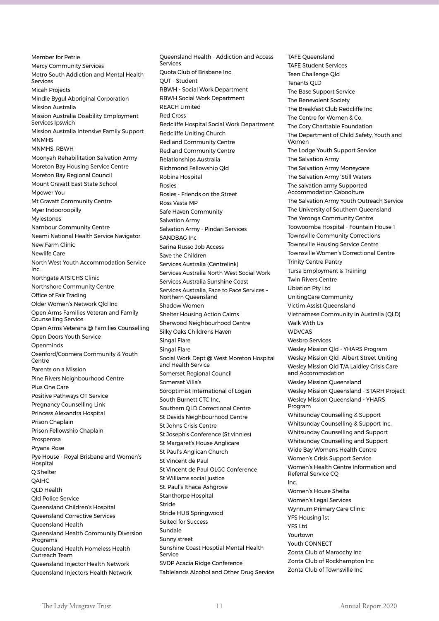Member for Petrie Mercy Community Services Metro South Addiction and Mental Health Services Micah Projects Mindle Bygul Aboriginal Corporation Mission Australia Mission Australia Disability Employment Services Ipswich Mission Australia Intensive Family Support MNMHS MNMHS, RBWH Moonyah Rehabilitation Salvation Army Moreton Bay Housing Service Centre Moreton Bay Regional Council Mount Gravatt East State School Mpower You Mt Gravatt Community Centre Myer Indooroopilly Mylestones Nambour Community Centre Neami National Health Service Navigator New Farm Clinic Newlife Care North West Youth Accommodation Service Inc. Northgate ATSICHS Clinic Northshore Community Centre Office of Fair Trading Older Women's Network Qld Inc Open Arms Families Veteran and Family Counselling Service Open Arms Veterans @ Families Counselling Open Doors Youth Service Openminds Oxenford/Coomera Community & Youth Centre Parents on a Mission Pine Rivers Neighbourhood Centre Plus One Care Positive Pathways OT Service Pregnancy Counselling Link Princess Alexandra Hospital Prison Chaplain Prison Fellowship Chaplain Prosperosa Pryana Rose Pye House - Royal Brisbane and Women's **Hospital** Q Shelter QAIHC QLD Health Qld Police Service Queensland Children's Hospital Queensland Corrective Services Queensland Health Queensland Health Community Diversion Programs Queensland Health Homeless Health Outreach Team Queensland Injector Health Network

Queensland Health - Addiction and Access Services Quota Club of Brisbane Inc. QUT - Student RBWH - Social Work Department RBWH Social Work Department REACH Limited Red Cross Redcliffe Hospital Social Work Department Redcliffe Uniting Church Redland Community Centre Redland Community Centre Relationships Australia Richmond Fellowship Qld Robina Hospital Rosies Rosies - Friends on the Street Ross Vasta MP Safe Haven Community Salvation Army Salvation Army - Pindari Services SANDBAG Inc Sarina Russo Job Access Save the Children Services Australia (Centrelink) Services Australia North West Social Work Services Australia Sunshine Coast Services Australia, Face to Face Services – Northern Queensland Shadow Women Shelter Housing Action Cairns Sherwood Neighbourhood Centre Silky Oaks Childrens Haven Singal Flare Singal Flare Social Work Dept @ West Moreton Hospital and Health Service Somerset Regional Council Somerset Villa's Soroptimist International of Logan South Burnett CTC Inc. Southern QLD Correctional Centre St Davids Neighbourhood Centre St Johns Crisis Centre St Joseph's Conference (St vinnies) St Margaret's House Anglicare St Paul's Anglican Church St Vincent de Paul St Vincent de Paul OLGC Conference St Williams social justice St. Paul's Ithaca-Ashgrove Stanthorpe Hospital Stride Stride HUB Springwood Suited for Success Sundale Sunny street Sunshine Coast Hosptial Mental Health Service SVDP Acacia Ridge Conference Tablelands Alcohol and Other Drug Service TAFE Queensland TAFE Student Services Teen Challenge Qld Tenants QLD The Base Support Service The Benevolent Society The Breakfast Club Redcliffe Inc The Centre for Women & Co. The Cory Charitable Foundation The Department of Child Safety, Youth and Women The Lodge Youth Support Service The Salvation Army The Salvation Army Moneycare The Salvation Army 'Still Waters The salvation army Supported Accommodation Caboolture The Salvation Army Youth Outreach Service The University of Southern Queensland The Yeronga Community Centre Toowoomba Hospital - Fountain House 1 Townsville Community Corrections Townsville Housing Service Centre Townsville Women's Correctional Centre Trinity Centre Pantry Tursa Employment & Training Twin Rivers Centre Ubiation Pty Ltd UnitingCare Community Victim Assist Queensland Vietnamese Community in Australia (QLD) Walk With Us WDVCAS Wesbro Services Wesley Mission Qld - YHARS Program Wesley Mission Qld- Albert Street Uniting Wesley Mission Qld T/A Laidley Crisis Care and Accommodation Wesley Mission Queensland Wesley Mission Queensland - STARH Project Wesley Mission Queensland - YHARS Program Whitsunday Counselling & Support Whitsunday Counselling & Support Inc. Whitsunday Counselling and Support Whitsunday Counselling and Support Wide Bay Womens Health Centre Women's Crisis Support Service Women's Health Centre Information and Referral Service CQ Inc. Women's House Shelta Women's Legal Services Wynnum Primary Care Clinic YFS Housing 1st YFS Ltd **Yourtown** Youth CONNECT Zonta Club of Maroochy Inc Zonta Club of Rockhampton Inc Zonta Club of Townsville Inc

Queensland Injectors Health Network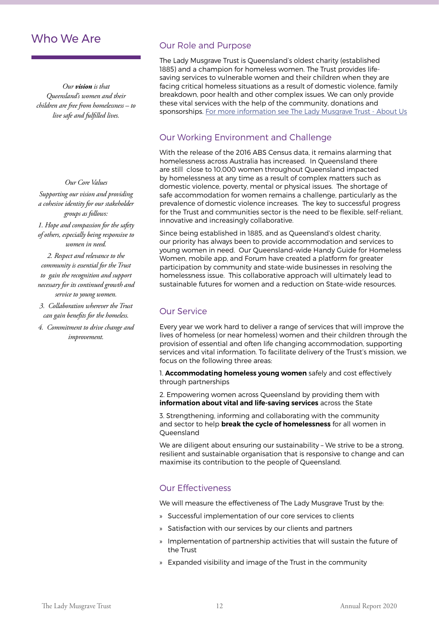# Who We Are

*Our vision is that Queensland's women and their children are free from homelessness – to live safe and fulfilled lives.* 

#### *Our Core Values*

*Supporting our vision and providing a cohesive identity for our stakeholder groups as follows:*

*1. Hope and compassion for the safety of others, especially being responsive to women in need.*

*2. Respect and relevance to the community is essential for the Trust to gain the recognition and support necessary for its continued growth and service to young women.*

- *3. Collaboration wherever the Trust can gain benefits for the homeless.*
- *4. Commitment to drive change and improvement.*

## Our Role and Purpose

The Lady Musgrave Trust is Queensland's oldest charity (established 1885) and a champion for homeless women. The Trust provides lifesaving services to vulnerable women and their children when they are facing critical homeless situations as a result of domestic violence, family breakdown, poor health and other complex issues. We can only provide these vital services with the help of the community, donations and sponsorships. For more information see The Lady Musgrave Trust - About Us

## Our Working Environment and Challenge

With the release of the 2016 ABS Census data, it remains alarming that homelessness across Australia has increased. In Queensland there are still close to 10,000 women throughout Queensland impacted by homelessness at any time as a result of complex matters such as domestic violence, poverty, mental or physical issues. The shortage of safe accommodation for women remains a challenge, particularly as the prevalence of domestic violence increases. The key to successful progress for the Trust and communities sector is the need to be flexible, self-reliant, innovative and increasingly collaborative.

Since being established in 1885, and as Queensland's oldest charity, our priority has always been to provide accommodation and services to young women in need. Our Queensland-wide Handy Guide for Homeless Women, mobile app, and Forum have created a platform for greater participation by community and state-wide businesses in resolving the homelessness issue. This collaborative approach will ultimately lead to sustainable futures for women and a reduction on State-wide resources.

# Our Service

Every year we work hard to deliver a range of services that will improve the lives of homeless (or near homeless) women and their children through the provision of essential and often life changing accommodation, supporting services and vital information. To facilitate delivery of the Trust's mission, we focus on the following three areas:

1. **Accommodating homeless young women** safely and cost effectively through partnerships

2. Empowering women across Queensland by providing them with **information about vital and life-saving services** across the State

3. Strengthening, informing and collaborating with the community and sector to help **break the cycle of homelessness** for all women in Queensland

We are diligent about ensuring our sustainability – We strive to be a strong, resilient and sustainable organisation that is responsive to change and can maximise its contribution to the people of Queensland.

## Our Effectiveness

We will measure the effectiveness of The Lady Musgrave Trust by the:

- » Successful implementation of our core services to clients
- » Satisfaction with our services by our clients and partners
- » Implementation of partnership activities that will sustain the future of the Trust
- » Expanded visibility and image of the Trust in the community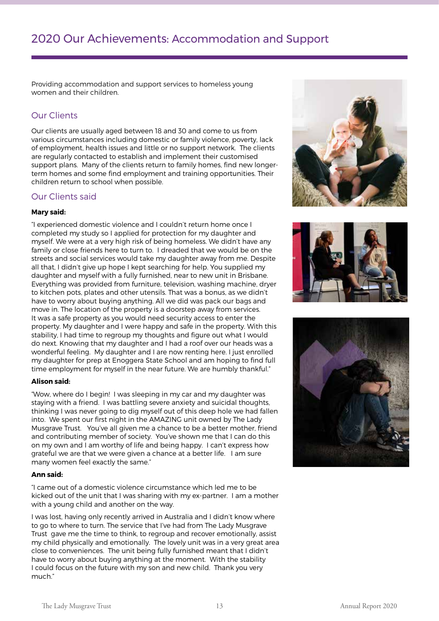Providing accommodation and support services to homeless young women and their children.

# Our Clients

Our clients are usually aged between 18 and 30 and come to us from various circumstances including domestic or family violence, poverty, lack of employment, health issues and little or no support network. The clients are regularly contacted to establish and implement their customised support plans. Many of the clients return to family homes, find new longerterm homes and some find employment and training opportunities. Their children return to school when possible.

## Our Clients said

#### **Mary said:**

"I experienced domestic violence and I couldn't return home once I completed my study so I applied for protection for my daughter and myself. We were at a very high risk of being homeless. We didn't have any family or close friends here to turn to. I dreaded that we would be on the streets and social services would take my daughter away from me. Despite all that, I didn't give up hope I kept searching for help. You supplied my daughter and myself with a fully furnished, near to new unit in Brisbane. Everything was provided from furniture, television, washing machine, dryer to kitchen pots, plates and other utensils. That was a bonus, as we didn't have to worry about buying anything. All we did was pack our bags and move in. The location of the property is a doorstep away from services. It was a safe property as you would need security access to enter the property. My daughter and I were happy and safe in the property. With this stability, I had time to regroup my thoughts and figure out what I would do next. Knowing that my daughter and I had a roof over our heads was a wonderful feeling. My daughter and I are now renting here. I just enrolled my daughter for prep at Enoggera State School and am hoping to find full time employment for myself in the near future. We are humbly thankful."

#### **Alison said:**

"Wow, where do I begin! I was sleeping in my car and my daughter was staying with a friend. I was battling severe anxiety and suicidal thoughts, thinking I was never going to dig myself out of this deep hole we had fallen into. We spent our first night in the AMAZING unit owned by The Lady Musgrave Trust. You've all given me a chance to be a better mother, friend and contributing member of society. You've shown me that I can do this on my own and I am worthy of life and being happy. I can't express how grateful we are that we were given a chance at a better life. I am sure many women feel exactly the same."

#### **Ann said:**

"I came out of a domestic violence circumstance which led me to be kicked out of the unit that I was sharing with my ex-partner. I am a mother with a young child and another on the way.

I was lost, having only recently arrived in Australia and I didn't know where to go to where to turn. The service that I've had from The Lady Musgrave Trust gave me the time to think, to regroup and recover emotionally, assist my child physically and emotionally. The lovely unit was in a very great area close to conveniences. The unit being fully furnished meant that I didn't have to worry about buying anything at the moment. With the stability I could focus on the future with my son and new child. Thank you very much."





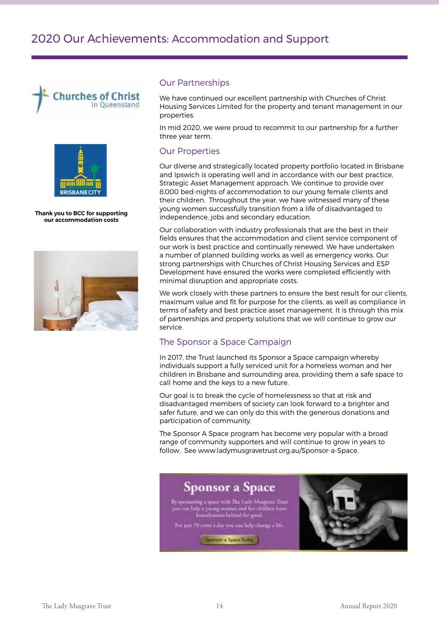



**Thank you to BCC for supporting our accommodation costs**



#### Our Partnerships

We have continued our excellent partnership with Churches of Christ Housing Services Limited for the property and tenant management in our properties.

In mid 2020, we were proud to recommit to our partnership for a further three year term.

## Our Properties

Our diverse and strategically located property portfolio located in Brisbane and Ipswich is operating well and in accordance with our best practice, Strategic Asset Management approach. We continue to provide over 8,000 bed-nights of accommodation to our young female clients and their children. Throughout the year, we have witnessed many of these young women successfully transition from a life of disadvantaged to independence, jobs and secondary education.

Our collaboration with industry professionals that are the best in their fields ensures that the accommodation and client service component of our work is best practice and continually renewed. We have undertaken a number of planned building works as well as emergency works. Our strong partnerships with Churches of Christ Housing Services and ESP Development have ensured the works were completed efficiently with minimal disruption and appropriate costs.

We work closely with these partners to ensure the best result for our clients, maximum value and fit for purpose for the clients, as well as compliance in terms of safety and best practice asset management. It is through this mix of partnerships and property solutions that we will continue to grow our service.

## The Sponsor a Space Campaign

In 2017, the Trust launched its Sponsor a Space campaign whereby individuals support a fully serviced unit for a homeless woman and her children in Brisbane and surrounding area, providing them a safe space to call home and the keys to a new future.

Our goal is to break the cycle of homelessness so that at risk and disadvantaged members of society can look forward to a brighter and safer future, and we can only do this with the generous donations and participation of community.

The Sponsor A Space program has become very popular with a broad range of community supporters and will continue to grow in years to follow. See www.ladymusgravetrust.org.au/Sponsor-a-Space.

# **Sponsor a Space**

By sponsoring a space with The Ludy Masgrave Triat<br>you can help a young woman and her children leave<br>bomeleances behind for good.

For just 70 cents a day you can help change a life. Sponsor a Space Tode

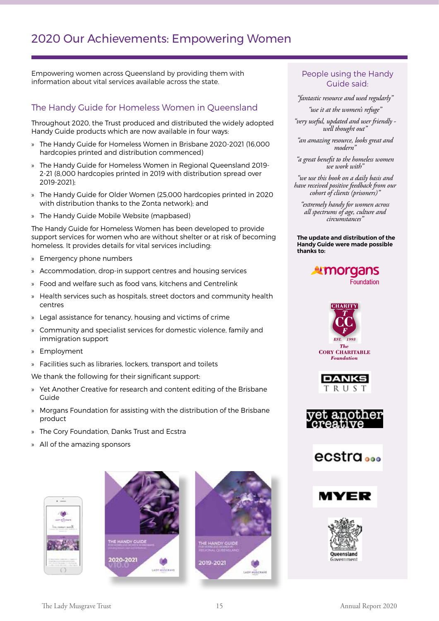# 2020 Our Achievements: Empowering Women

Empowering women across Queensland by providing them with information about vital services available across the state.

# The Handy Guide for Homeless Women in Queensland

Throughout 2020, the Trust produced and distributed the widely adopted Handy Guide products which are now available in four ways:

- » The Handy Guide for Homeless Women in Brisbane 2020-2021 (16,000 hardcopies printed and distribution commenced)
- » The Handy Guide for Homeless Women in Regional Queensland 2019- 2-21 (8,000 hardcopies printed in 2019 with distribution spread over 2019-2021);
- » The Handy Guide for Older Women (25,000 hardcopies printed in 2020 with distribution thanks to the Zonta network); and
- » The Handy Guide Mobile Website (mapbased)

The Handy Guide for Homeless Women has been developed to provide support services for women who are without shelter or at risk of becoming homeless. It provides details for vital services including:

- » Emergency phone numbers
- » Accommodation, drop-in support centres and housing services
- » Food and welfare such as food vans, kitchens and Centrelink
- » Health services such as hospitals, street doctors and community health centres
- » Legal assistance for tenancy, housing and victims of crime
- » Community and specialist services for domestic violence, family and immigration support
- » Employment
- » Facilities such as libraries, lockers, transport and toilets

We thank the following for their significant support:

- » Yet Another Creative for research and content editing of the Brisbane Guide
- » Morgans Foundation for assisting with the distribution of the Brisbane product
- » The Cory Foundation, Danks Trust and Ecstra
- » All of the amazing sponsors







## People using the Handy Guide said:

*"fantastic resource and used regularly"*

*"use it at the women's refuge"*

*"very useful, updated and user friendly well thought out"*

*"an amazing resource, looks great and modern"*

*"a great benefit to the homeless women we work with"*

*"we use this book on a daily basis and have received positive feedback from our cohort of clients (prisoners)"*

*"extremely handy for women across all spectrums of age, culture and circumstances"*

**The update and distribution of the Handy Guide were made possible thanks to:**

## **Amorgans** Foundation











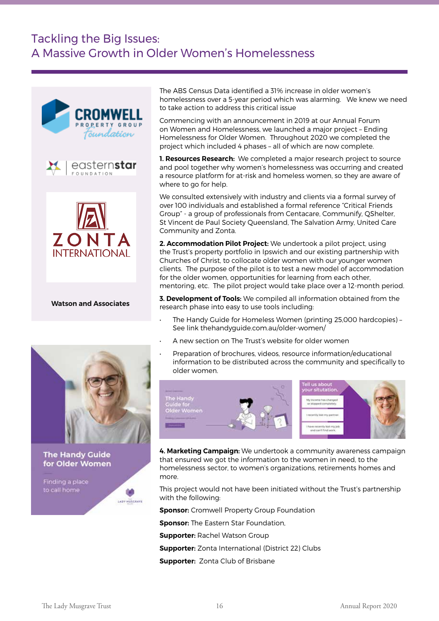# Tackling the Big Issues: A Massive Growth in Older Women's Homelessness



**The Handy Guide** for Older Women

LADY HUSCRAYE

Finding a place

The ABS Census Data identified a 31% increase in older women's homelessness over a 5-year period which was alarming. We knew we need to take action to address this critical issue

Commencing with an announcement in 2019 at our Annual Forum on Women and Homelessness, we launched a major project – Ending Homelessness for Older Women. Throughout 2020 we completed the project which included 4 phases – all of which are now complete.

**1. Resources Research:** We completed a major research project to source and pool together why women's homelessness was occurring and created a resource platform for at-risk and homeless women, so they are aware of where to go for help.

We consulted extensively with industry and clients via a formal survey of over 100 individuals and established a formal reference "Critical Friends Group" - a group of professionals from Centacare, Communify, QShelter, St Vincent de Paul Society Queensland, The Salvation Army, United Care Community and Zonta.

**2. Accommodation Pilot Project:** We undertook a pilot project, using the Trust's property portfolio in Ipswich and our existing partnership with Churches of Christ, to collocate older women with our younger women clients. The purpose of the pilot is to test a new model of accommodation for the older women, opportunities for learning from each other, mentoring, etc. The pilot project would take place over a 12-month period.

**3. Development of Tools:** We compiled all information obtained from the research phase into easy to use tools including:

- The Handy Guide for Homeless Women (printing 25,000 hardcopies) See link thehandyguide.com.au/older-women/
- A new section on The Trust's website for older women
- Preparation of brochures, videos, resource information/educational information to be distributed across the community and specifically to older women.



**4. Marketing Campaign:** We undertook a community awareness campaign that ensured we got the information to the women in need, to the homelessness sector, to women's organizations, retirements homes and more.

This project would not have been initiated without the Trust's partnership with the following:

**Sponsor:** Cromwell Property Group Foundation

**Sponsor:** The Eastern Star Foundation,

**Supporter:** Rachel Watson Group

**Supporter:** Zonta International (District 22) Clubs

**Supporter:** Zonta Club of Brisbane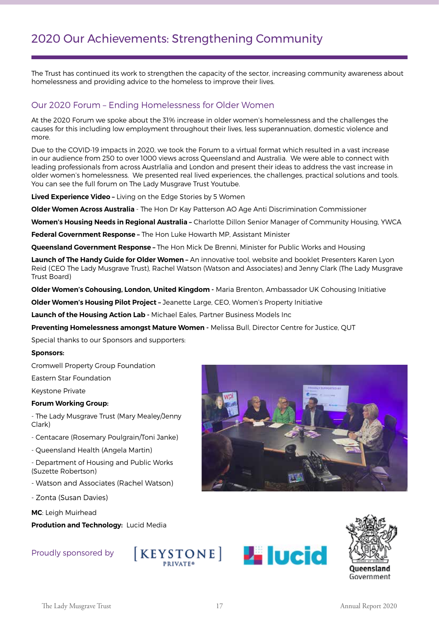The Trust has continued its work to strengthen the capacity of the sector, increasing community awareness about homelessness and providing advice to the homeless to improve their lives.

## Our 2020 Forum – Ending Homelessness for Older Women

At the 2020 Forum we spoke about the 31% increase in older women's homelessness and the challenges the causes for this including low employment throughout their lives, less superannuation, domestic violence and more.

Due to the COVID-19 impacts in 2020, we took the Forum to a virtual format which resulted in a vast increase in our audience from 250 to over 1000 views across Queensland and Australia. We were able to connect with leading professionals from across Austrlalia and London and present their ideas to address the vast increase in older women's homelessness. We presented real lived experiences, the challenges, practical solutions and tools. You can see the full forum on The Lady Musgrave Trust Youtube.

**Lived Experience Video –** Living on the Edge Stories by 5 Women

**Older Women Across Australia** - The Hon Dr Kay Patterson AO Age Anti Discrimination Commissioner

**Women's Housing Needs in Regional Australia –** Charlotte Dillon Senior Manager of Community Housing, YWCA

**Federal Government Response –** The Hon Luke Howarth MP, Assistant Minister

**Queensland Government Response –** The Hon Mick De Brenni, Minister for Public Works and Housing

**Launch of The Handy Guide for Older Women –** An innovative tool, website and booklet Presenters Karen Lyon Reid (CEO The Lady Musgrave Trust), Rachel Watson (Watson and Associates) and Jenny Clark (The Lady Musgrave Trust Board)

**Older Women's Cohousing, London, United Kingdom -** Maria Brenton, Ambassador UK Cohousing Initiative

**Older Women's Housing Pilot Project –** Jeanette Large, CEO, Women's Property Initiative

**Launch of the Housing Action Lab -** Michael Eales, Partner Business Models Inc

**Preventing Homelessness amongst Mature Women -** Melissa Bull, Director Centre for Justice, QUT

Special thanks to our Sponsors and supporters:

#### **Sponsors:**

Cromwell Property Group Foundation

Eastern Star Foundation

Keystone Private

#### **Forum Working Group:**

- The Lady Musgrave Trust (Mary Mealey/Jenny Clark)

- Centacare (Rosemary Poulgrain/Toni Janke)

- Queensland Health (Angela Martin)

- Department of Housing and Public Works (Suzette Robertson)

- Watson and Associates (Rachel Watson)

- Zonta (Susan Davies)

**MC**: Leigh Muirhead

**Prodution and Technology:** Lucid Media

## Proudly sponsored by







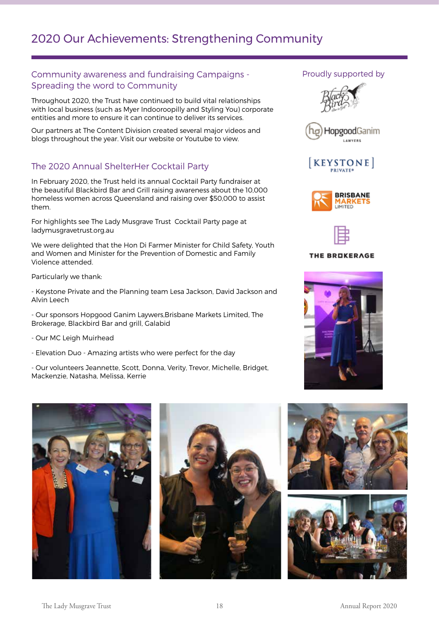## Community awareness and fundraising Campaigns - Spreading the word to Community

Throughout 2020, the Trust have continued to build vital relationships with local business (such as Myer Indooroopilly and Styling You) corporate entities and more to ensure it can continue to deliver its services.

Our partners at The Content Division created several major videos and blogs throughout the year. Visit our website or Youtube to view.

## The 2020 Annual ShelterHer Cocktail Party

In February 2020, the Trust held its annual Cocktail Party fundraiser at the beautiful Blackbird Bar and Grill raising awareness about the 10,000 homeless women across Queensland and raising over \$50,000 to assist them.

For highlights see The Lady Musgrave Trust Cocktail Party page at ladymusgravetrust.org.au

We were delighted that the Hon Di Farmer Minister for Child Safety, Youth and Women and Minister for the Prevention of Domestic and Family Violence attended.

Particularly we thank:

- Keystone Private and the Planning team Lesa Jackson, David Jackson and Alvin Leech

- Our sponsors Hopgood Ganim Laywers,Brisbane Markets Limited, The Brokerage, Blackbird Bar and grill, Galabid

- Our MC Leigh Muirhead

- Elevation Duo - Amazing artists who were perfect for the day

- Our volunteers Jeannette, Scott, Donna, Verity, Trevor, Michelle, Bridget, Mackenzie, Natasha, Melissa, Kerrie













#### THE BROKERAGE



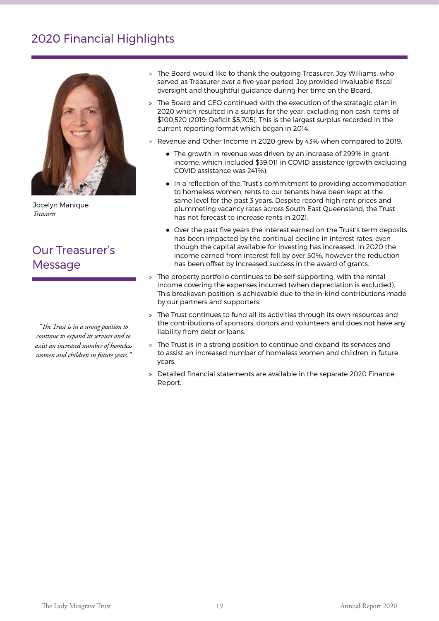# 2020 Financial Highlights



Jocelyn Manique *Treasurer*

# Our Treasurer's **Message**

*"The Trust is in a strong position to continue to expand its services and to assist an increased number of homeless women and children in future years."*

- » The Board would like to thank the outgoing Treasurer, Joy Williams, who served as Treasurer over a five-year period. Joy provided invaluable fiscal oversight and thoughtful guidance during her time on the Board.
- » The Board and CEO continued with the execution of the strategic plan in 2020 which resulted in a surplus for the year, excluding non cash items of \$100,520 (2019: Deficit \$5,705). This is the largest surplus recorded in the current reporting format which began in 2014.
- » Revenue and Other Income in 2020 grew by 43% when compared to 2019.
	- The growth in revenue was driven by an increase of 299% in grant income, which included \$39,011 in COVID assistance (growth excluding COVID assistance was 241%).
	- In a reflection of the Trust's commitment to providing accommodation to homeless women, rents to our tenants have been kept at the same level for the past 3 years. Despite record high rent prices and plummeting vacancy rates across South East Queensland, the Trust has not forecast to increase rents in 2021.
	- Over the past five years the interest earned on the Trust's term deposits has been impacted by the continual decline in interest rates, even though the capital available for investing has increased. In 2020 the income earned from interest fell by over 50%, however the reduction has been offset by increased success in the award of grants.
- » The property portfolio continues to be self-supporting, with the rental income covering the expenses incurred (when depreciation is excluded). This breakeven position is achievable due to the in-kind contributions made by our partners and supporters.
- » The Trust continues to fund all its activities through its own resources and the contributions of sponsors, donors and volunteers and does not have any liability from debt or loans.
- » The Trust is in a strong position to continue and expand its services and to assist an increased number of homeless women and children in future years.
- » Detailed financial statements are available in the separate 2020 Finance Report.